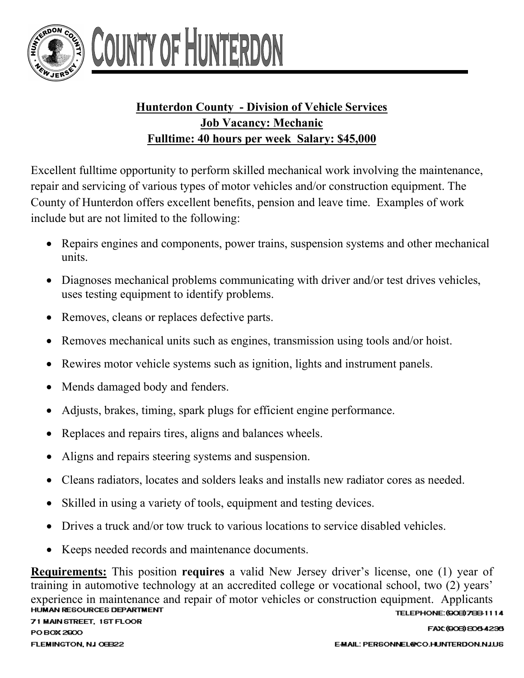

## COUNTY OF HUNTERL

## **Hunterdon County - Division of Vehicle Services Job Vacancy: Mechanic Fulltime: 40 hours per week Salary: \$45,000**

Excellent fulltime opportunity to perform skilled mechanical work involving the maintenance, repair and servicing of various types of motor vehicles and/or construction equipment. The County of Hunterdon offers excellent benefits, pension and leave time. Examples of work include but are not limited to the following:

- Repairs engines and components, power trains, suspension systems and other mechanical units.
- Diagnoses mechanical problems communicating with driver and/or test drives vehicles, uses testing equipment to identify problems.
- Removes, cleans or replaces defective parts.
- Removes mechanical units such as engines, transmission using tools and/or hoist.
- Rewires motor vehicle systems such as ignition, lights and instrument panels.
- Mends damaged body and fenders.
- Adjusts, brakes, timing, spark plugs for efficient engine performance.
- Replaces and repairs tires, aligns and balances wheels.
- Aligns and repairs steering systems and suspension.
- Cleans radiators, locates and solders leaks and installs new radiator cores as needed.
- Skilled in using a variety of tools, equipment and testing devices.
- Drives a truck and/or tow truck to various locations to service disabled vehicles.
- Keeps needed records and maintenance documents.

**Requirements:** This position **requires** a valid New Jersey driver's license, one (1) year of training in automotive technology at an accredited college or vocational school, two (2) years' experience in maintenance and repair of motor vehicles or construction equipment. Applicants<br>HUMAN RESOURCES DEPARTMENT TELEPHONE: (908) 788-1114